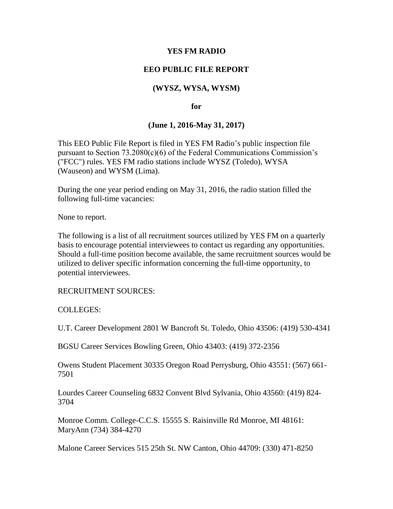## **YES FM RADIO**

# **EEO PUBLIC FILE REPORT**

# **(WYSZ, WYSA, WYSM)**

#### **for**

# **(June 1, 2016-May 31, 2017)**

This EEO Public File Report is filed in YES FM Radio's public inspection file pursuant to Section 73.2080(c)(6) of the Federal Communications Commission's ("FCC") rules. YES FM radio stations include WYSZ (Toledo), WYSA (Wauseon) and WYSM (Lima).

During the one year period ending on May 31, 2016, the radio station filled the following full-time vacancies:

None to report.

The following is a list of all recruitment sources utilized by YES FM on a quarterly basis to encourage potential interviewees to contact us regarding any opportunities. Should a full-time position become available, the same recruitment sources would be utilized to deliver specific information concerning the full-time opportunity, to potential interviewees.

RECRUITMENT SOURCES:

COLLEGES:

U.T. Career Development 2801 W Bancroft St. Toledo, Ohio 43506: (419) 530-4341

BGSU Career Services Bowling Green, Ohio 43403: (419) 372-2356

Owens Student Placement 30335 Oregon Road Perrysburg, Ohio 43551: (567) 661- 7501

Lourdes Career Counseling 6832 Convent Blvd Sylvania, Ohio 43560: (419) 824- 3704

Monroe Comm. College-C.C.S. 15555 S. Raisinville Rd Monroe, MI 48161: MaryAnn (734) 384-4270

Malone Career Services 515 25th St. NW Canton, Ohio 44709: (330) 471-8250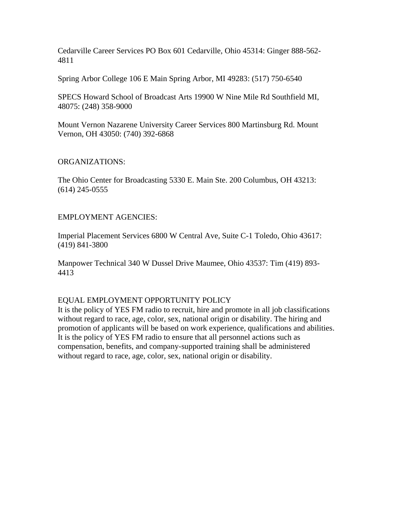Cedarville Career Services PO Box 601 Cedarville, Ohio 45314: Ginger 888-562- 4811

Spring Arbor College 106 E Main Spring Arbor, MI 49283: (517) 750-6540

SPECS Howard School of Broadcast Arts 19900 W Nine Mile Rd Southfield MI, 48075: (248) 358-9000

Mount Vernon Nazarene University Career Services 800 Martinsburg Rd. Mount Vernon, OH 43050: (740) 392-6868

#### ORGANIZATIONS:

The Ohio Center for Broadcasting 5330 E. Main Ste. 200 Columbus, OH 43213: (614) 245-0555

## EMPLOYMENT AGENCIES:

Imperial Placement Services 6800 W Central Ave, Suite C-1 Toledo, Ohio 43617: (419) 841-3800

Manpower Technical 340 W Dussel Drive Maumee, Ohio 43537: Tim (419) 893- 4413

## EQUAL EMPLOYMENT OPPORTUNITY POLICY

It is the policy of YES FM radio to recruit, hire and promote in all job classifications without regard to race, age, color, sex, national origin or disability. The hiring and promotion of applicants will be based on work experience, qualifications and abilities. It is the policy of YES FM radio to ensure that all personnel actions such as compensation, benefits, and company-supported training shall be administered without regard to race, age, color, sex, national origin or disability.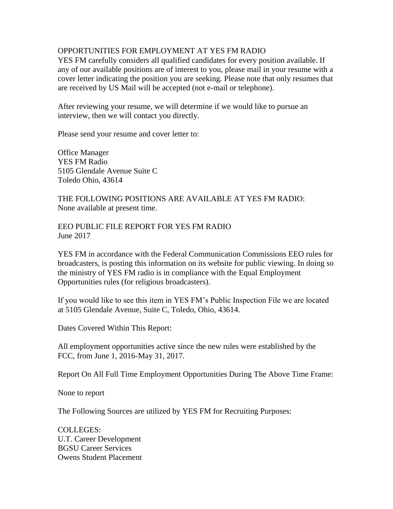## OPPORTUNITIES FOR EMPLOYMENT AT YES FM RADIO

YES FM carefully considers all qualified candidates for every position available. If any of our available positions are of interest to you, please mail in your resume with a cover letter indicating the position you are seeking. Please note that only resumes that are received by US Mail will be accepted (not e-mail or telephone).

After reviewing your resume, we will determine if we would like to pursue an interview, then we will contact you directly.

Please send your resume and cover letter to:

Office Manager YES FM Radio 5105 Glendale Avenue Suite C Toledo Ohio, 43614

THE FOLLOWING POSITIONS ARE AVAILABLE AT YES FM RADIO: None available at present time.

EEO PUBLIC FILE REPORT FOR YES FM RADIO June 2017

YES FM in accordance with the Federal Communication Commissions EEO rules for broadcasters, is posting this information on its website for public viewing. In doing so the ministry of YES FM radio is in compliance with the Equal Employment Opportunities rules (for religious broadcasters).

If you would like to see this item in YES FM's Public Inspection File we are located at 5105 Glendale Avenue, Suite C, Toledo, Ohio, 43614.

Dates Covered Within This Report:

All employment opportunities active since the new rules were established by the FCC, from June 1, 2016-May 31, 2017.

Report On All Full Time Employment Opportunities During The Above Time Frame:

None to report

The Following Sources are utilized by YES FM for Recruiting Purposes:

COLLEGES: U.T. Career Development BGSU Career Services Owens Student Placement